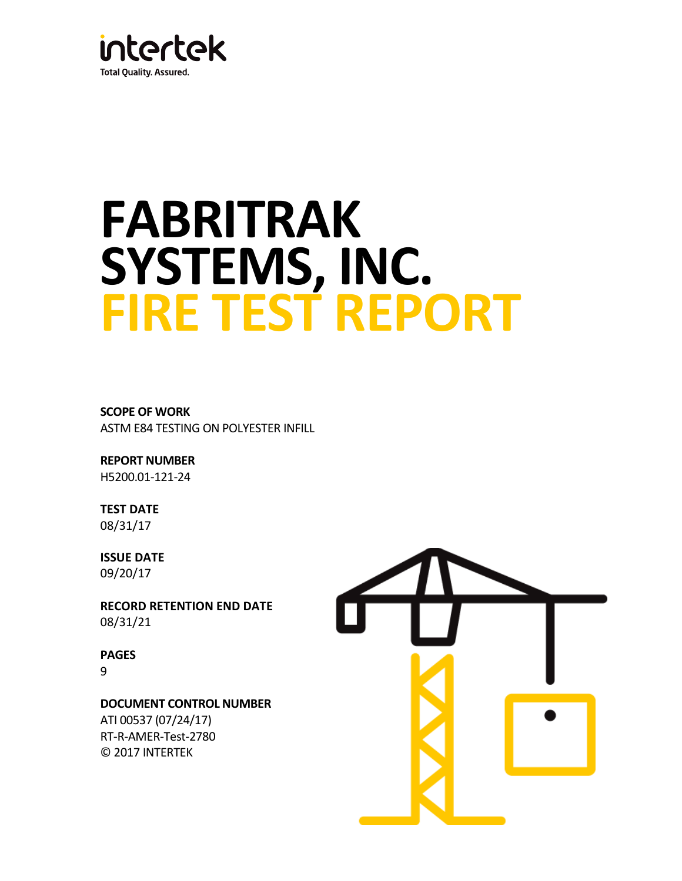

# **FABRITRAK SYSTEMS, INC. FIRE TEST REPORT**

**SCOPE OF WORK**  ASTM E84 TESTING ON POLYESTER INFILL

**REPORT NUMBER** H5200.01-121-24

**TEST DATE**  08/31/17

**ISSUE DATE**  09/20/17

**RECORD RETENTION END DATE**  08/31/21

**PAGES** 9

**DOCUMENT CONTROL NUMBER**  ATI 00537 (07/24/17) RT-R-AMER-Test-2780

© 2017 INTERTEK

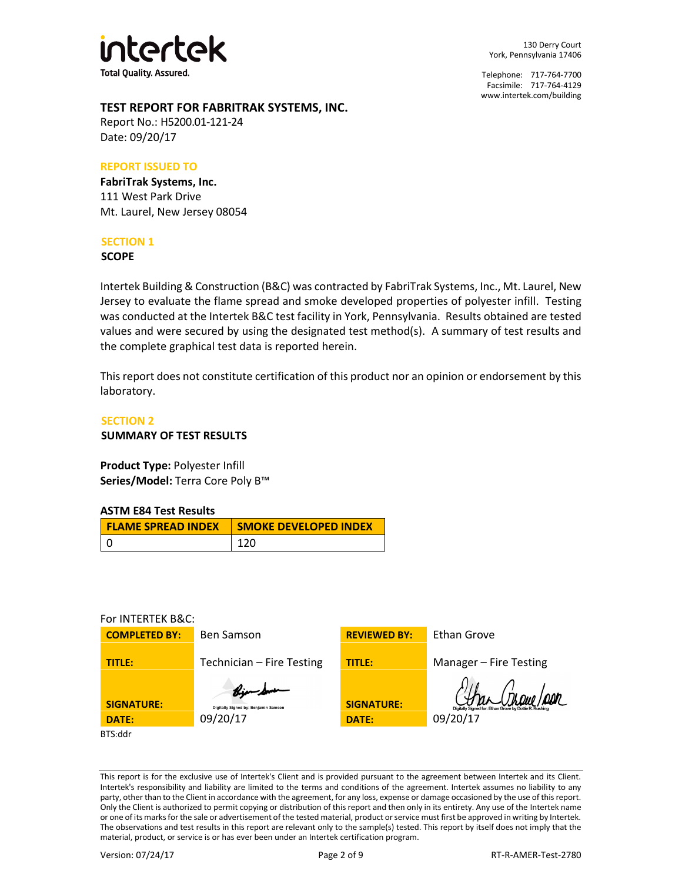

130 Derry Court York, Pennsylvania 17406

Telephone: 717-764-7700 Facsimile: 717-764-4129 [www.intertek.com/building](http://www.intertek.com/building) 

## **TEST REPORT FOR FABRITRAK SYSTEMS, INC.**

Report No.: H5200.01-121-24 Date: 09/20/17

## **REPORT ISSUED TO**

**FabriTrak Systems, Inc.** 111 West Park Drive Mt. Laurel, New Jersey 08054

## **SECTION 1**

**SCOPE**

Intertek Building & Construction (B&C) was contracted by FabriTrak Systems, Inc., Mt. Laurel, New Jersey to evaluate the flame spread and smoke developed properties of polyester infill. Testing was conducted at the Intertek B&C test facility in York, Pennsylvania. Results obtained are tested values and were secured by using the designated test method(s). A summary of test results and the complete graphical test data is reported herein.

This report does not constitute certification of this product nor an opinion or endorsement by this laboratory.

## **SECTION 2**

**SUMMARY OF TEST RESULTS**

**Product Type:** Polyester Infill **Series/Model:** Terra Core Poly B™

## **ASTM E84 Test Results**

| <b>FLAME SPREAD INDEX</b> | <b>SMOKE DEVELOPED INDEX</b> |
|---------------------------|------------------------------|
|                           | 120                          |

## For INTERTEK B&C:



This report is for the exclusive use of Intertek's Client and is provided pursuant to the agreement between Intertek and its Client. Intertek's responsibility and liability are limited to the terms and conditions of the agreement. Intertek assumes no liability to any party, other than to the Client in accordance with the agreement, for any loss, expense or damage occasioned by the use of this report. Only the Client is authorized to permit copying or distribution of this report and then only in its entirety. Any use of the Intertek name or one of its marks for the sale or advertisement of the tested material, product or service must first be approved in writing by Intertek. The observations and test results in this report are relevant only to the sample(s) tested. This report by itself does not imply that the material, product, or service is or has ever been under an Intertek certification program.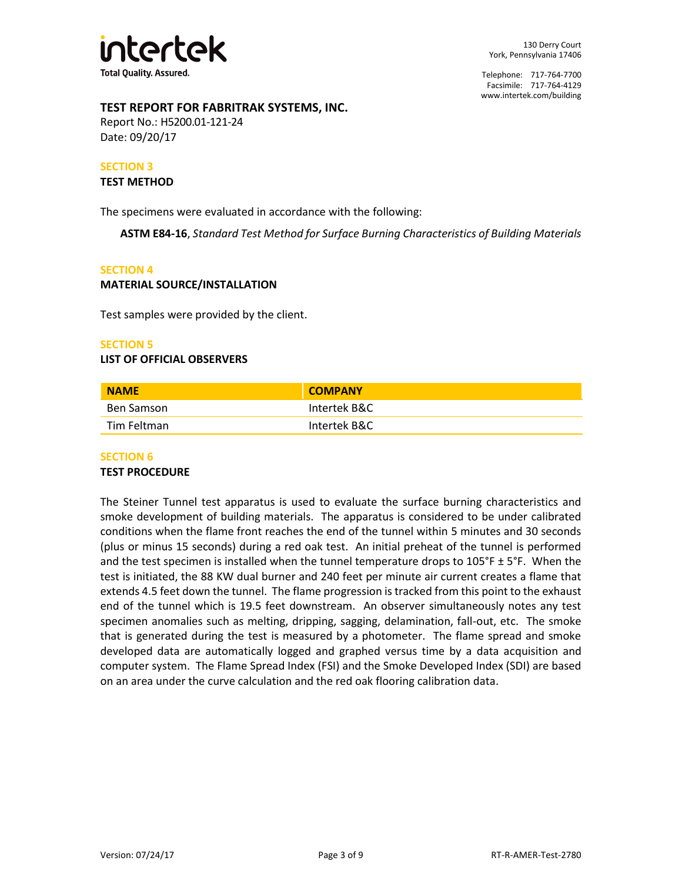

## **TEST REPORT FOR FABRITRAK SYSTEMS, INC.**

Report No.: H5200.01-121-24 Date: 09/20/17

## **SECTION 3**

#### **TEST METHOD**

The specimens were evaluated in accordance with the following:

**ASTM E84-16**, *Standard Test Method for Surface Burning Characteristics of Building Materials* 

#### **SECTION 4**

## **MATERIAL SOURCE/INSTALLATION**

Test samples were provided by the client.

## **SECTION 5**

## **LIST OF OFFICIAL OBSERVERS**

| <b>NAME</b> | <b>COMPANY</b> |  |
|-------------|----------------|--|
| Ben Samson  | Intertek B&C   |  |
| Tim Feltman | Intertek B&C   |  |

## **SECTION 6**

#### **TEST PROCEDURE**

The Steiner Tunnel test apparatus is used to evaluate the surface burning characteristics and smoke development of building materials. The apparatus is considered to be under calibrated conditions when the flame front reaches the end of the tunnel within 5 minutes and 30 seconds (plus or minus 15 seconds) during a red oak test. An initial preheat of the tunnel is performed and the test specimen is installed when the tunnel temperature drops to  $105^\circ$ F ± 5°F. When the test is initiated, the 88 KW dual burner and 240 feet per minute air current creates a flame that extends 4.5 feet down the tunnel. The flame progression is tracked from this point to the exhaust end of the tunnel which is 19.5 feet downstream. An observer simultaneously notes any test specimen anomalies such as melting, dripping, sagging, delamination, fall-out, etc. The smoke that is generated during the test is measured by a photometer. The flame spread and smoke developed data are automatically logged and graphed versus time by a data acquisition and computer system. The Flame Spread Index (FSI) and the Smoke Developed Index (SDI) are based on an area under the curve calculation and the red oak flooring calibration data.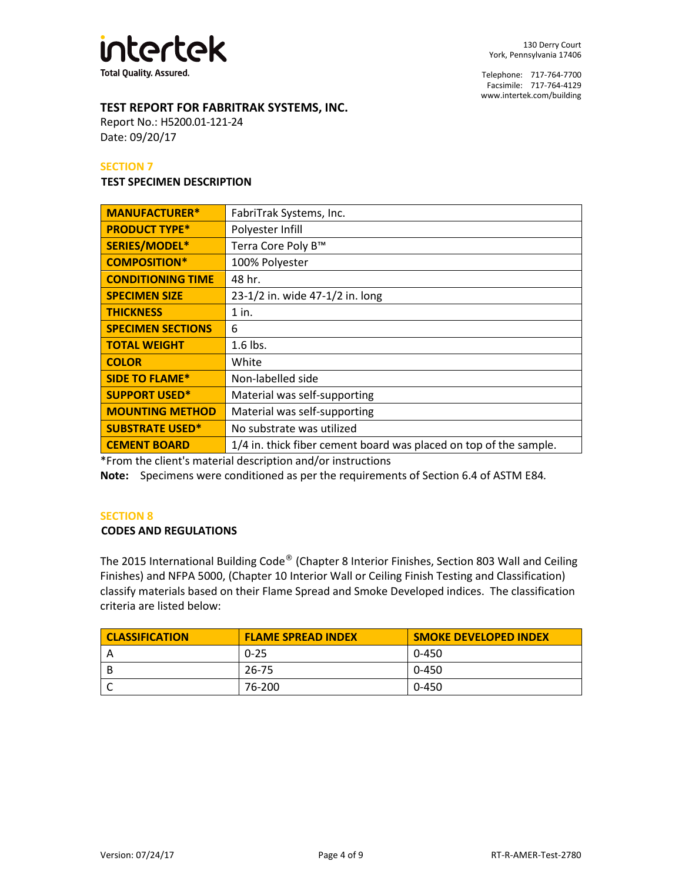

## **TEST REPORT FOR FABRITRAK SYSTEMS, INC.**

Report No.: H5200.01-121-24 Date: 09/20/17

## **SECTION 7**

#### **TEST SPECIMEN DESCRIPTION**

| <b>MANUFACTURER*</b>     | FabriTrak Systems, Inc.                                           |
|--------------------------|-------------------------------------------------------------------|
| <b>PRODUCT TYPE*</b>     | Polyester Infill                                                  |
| SERIES/MODEL*            | Terra Core Poly B™                                                |
| <b>COMPOSITION*</b>      | 100% Polyester                                                    |
| <b>CONDITIONING TIME</b> | 48 hr.                                                            |
| <b>SPECIMEN SIZE</b>     | 23-1/2 in. wide 47-1/2 in. long                                   |
| <b>THICKNESS</b>         | $1$ in.                                                           |
| <b>SPECIMEN SECTIONS</b> | 6                                                                 |
| <b>TOTAL WEIGHT</b>      | $1.6$ lbs.                                                        |
| <b>COLOR</b>             | White                                                             |
| <b>SIDE TO FLAME*</b>    | Non-labelled side                                                 |
| <b>SUPPORT USED*</b>     | Material was self-supporting                                      |
| <b>MOUNTING METHOD</b>   | Material was self-supporting                                      |
| <b>SUBSTRATE USED*</b>   | No substrate was utilized                                         |
| <b>CEMENT BOARD</b>      | 1/4 in. thick fiber cement board was placed on top of the sample. |

\*From the client's material description and/or instructions

**Note:** Specimens were conditioned as per the requirements of Section 6.4 of ASTM E84*.*

## **SECTION 8**

## **CODES AND REGULATIONS**

The 2015 International Building Code® (Chapter 8 Interior Finishes, Section 803 Wall and Ceiling Finishes) and NFPA 5000, (Chapter 10 Interior Wall or Ceiling Finish Testing and Classification) classify materials based on their Flame Spread and Smoke Developed indices. The classification criteria are listed below:

| <b>CLASSIFICATION</b> | <b>FLAME SPREAD INDEX</b> | <b>SMOKE DEVELOPED INDEX</b> |
|-----------------------|---------------------------|------------------------------|
|                       | $0 - 25$                  | 0-450                        |
|                       | 26-75                     | 0-450                        |
|                       | 76-200                    | 0-450                        |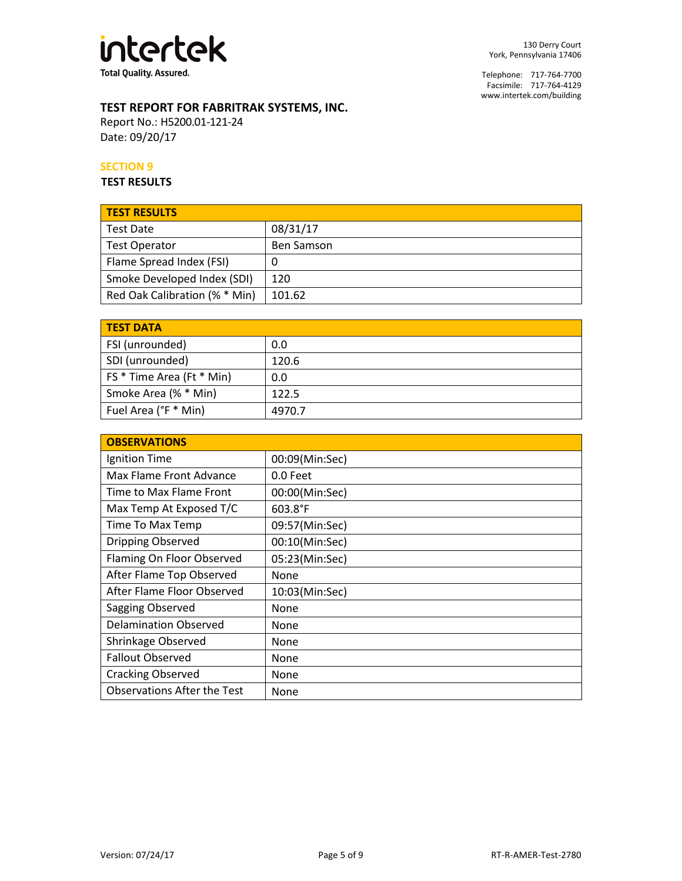

# **TEST REPORT FOR FABRITRAK SYSTEMS, INC.**

Report No.: H5200.01-121-24 Date: 09/20/17

## **SECTION 9**

**TEST RESULTS**

| <b>TEST RESULTS</b>           |                   |
|-------------------------------|-------------------|
| <b>Test Date</b>              | 08/31/17          |
| <b>Test Operator</b>          | <b>Ben Samson</b> |
| Flame Spread Index (FSI)      | U                 |
| Smoke Developed Index (SDI)   | 120               |
| Red Oak Calibration (% * Min) | 101.62            |

| <b>TEST DATA</b>          |        |
|---------------------------|--------|
| FSI (unrounded)           | 0.0    |
| SDI (unrounded)           | 120.6  |
| FS * Time Area (Ft * Min) | 0.0    |
| Smoke Area (% * Min)      | 122.5  |
| Fuel Area (°F * Min)      | 4970.7 |

| <b>OBSERVATIONS</b>                |                |
|------------------------------------|----------------|
| Ignition Time                      | 00:09(Min:Sec) |
| Max Flame Front Advance            | 0.0 Feet       |
| Time to Max Flame Front            | 00:00(Min:Sec) |
| Max Temp At Exposed T/C            | 603.8°F        |
| Time To Max Temp                   | 09:57(Min:Sec) |
| Dripping Observed                  | 00:10(Min:Sec) |
| Flaming On Floor Observed          | 05:23(Min:Sec) |
| After Flame Top Observed           | None           |
| After Flame Floor Observed         | 10:03(Min:Sec) |
| Sagging Observed                   | None           |
| <b>Delamination Observed</b>       | None           |
| Shrinkage Observed                 | None           |
| <b>Fallout Observed</b>            | None           |
| <b>Cracking Observed</b>           | None           |
| <b>Observations After the Test</b> | None           |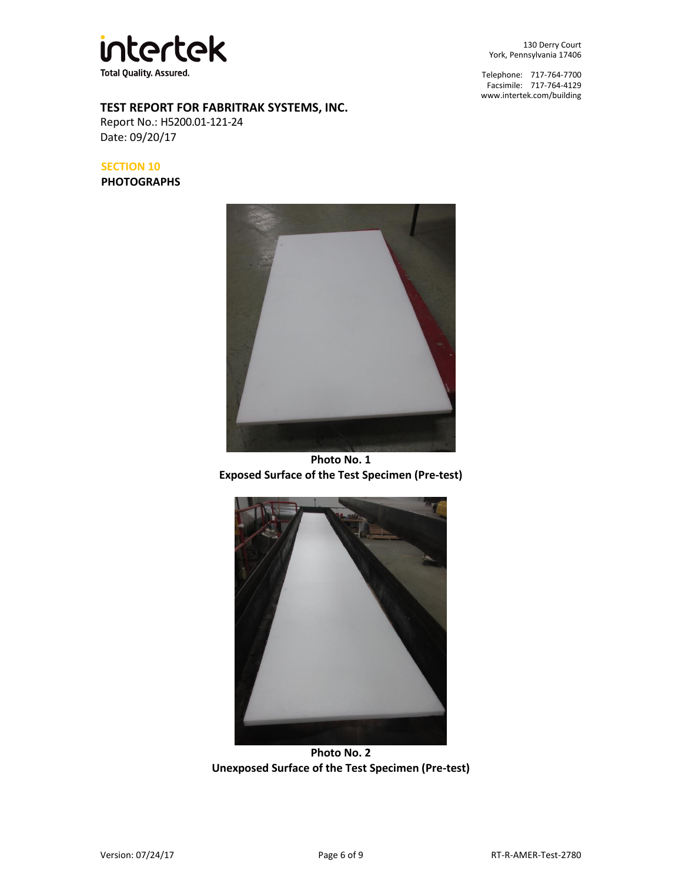

## **TEST REPORT FOR FABRITRAK SYSTEMS, INC.**

Report No.: H5200.01-121-24 Date: 09/20/17

**SECTION 10**

**PHOTOGRAPHS**



**Photo No. 1 Exposed Surface of the Test Specimen (Pre-test)** 



**Photo No. 2 Unexposed Surface of the Test Specimen (Pre-test)** 

130 Derry Court York, Pennsylvania 17406

Telephone: 717-764-7700 Facsimile: 717-764-4129 [www.intertek.com/building](http://www.intertek.com/building)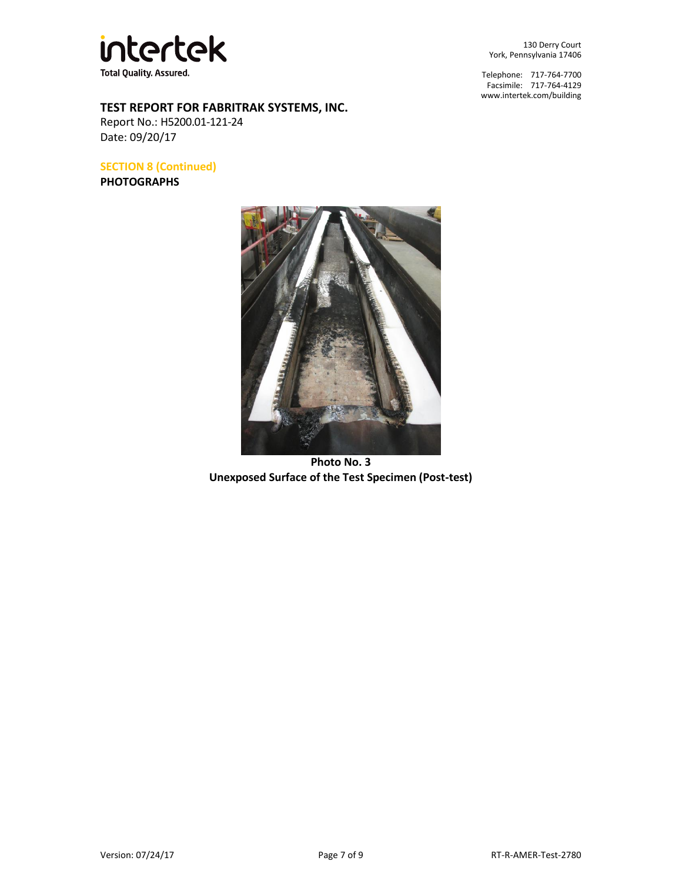

**TEST REPORT FOR FABRITRAK SYSTEMS, INC.**

Report No.: H5200.01-121-24 Date: 09/20/17

**SECTION 8 (Continued)** 

**PHOTOGRAPHS**



Telephone: 717-764-7700 Facsimile: 717-764-4129 [www.intertek.com/building](http://www.intertek.com/building) 



**Photo No. 3 Unexposed Surface of the Test Specimen (Post-test)**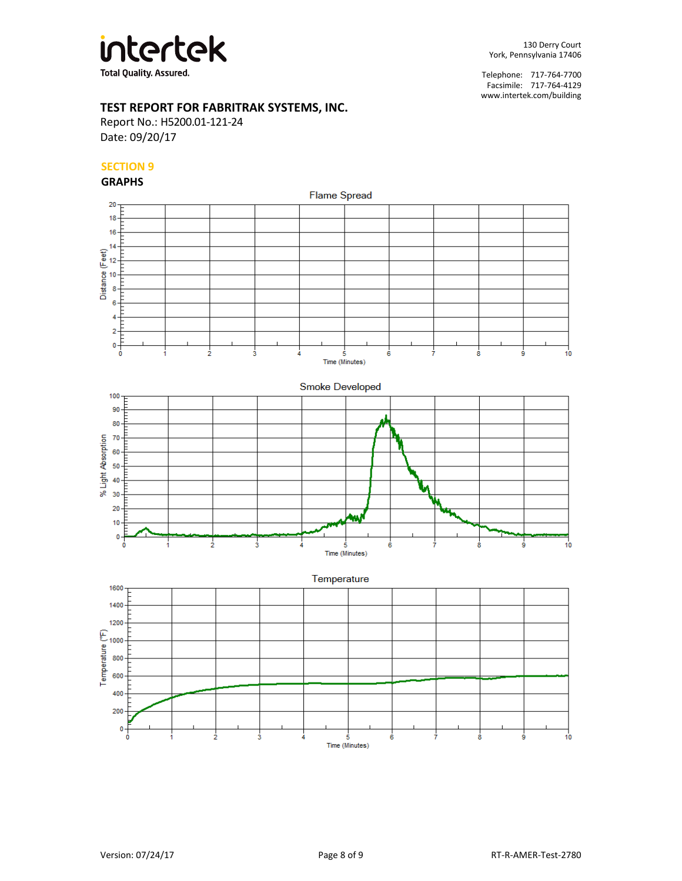

## **TEST REPORT FOR FABRITRAK SYSTEMS, INC.**

Report No.: H5200.01-121-24 Date: 09/20/17

## **SECTION 9**

#### **GRAPHS**